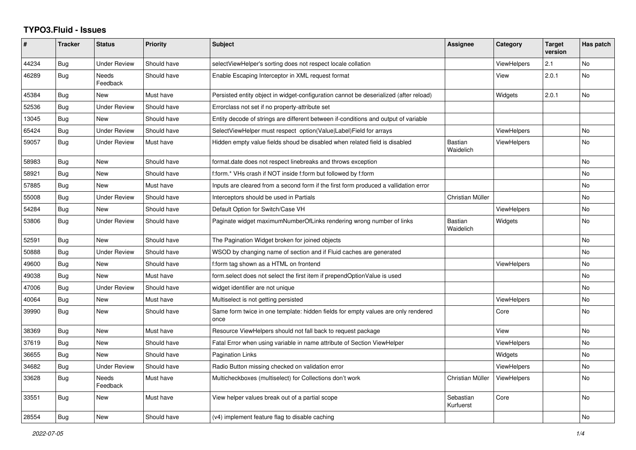## **TYPO3.Fluid - Issues**

| #     | <b>Tracker</b> | <b>Status</b>       | <b>Priority</b> | <b>Subject</b>                                                                            | Assignee                    | Category           | <b>Target</b><br>version | Has patch      |
|-------|----------------|---------------------|-----------------|-------------------------------------------------------------------------------------------|-----------------------------|--------------------|--------------------------|----------------|
| 44234 | Bug            | <b>Under Review</b> | Should have     | selectViewHelper's sorting does not respect locale collation                              |                             | <b>ViewHelpers</b> | 2.1                      | <b>No</b>      |
| 46289 | <b>Bug</b>     | Needs<br>Feedback   | Should have     | Enable Escaping Interceptor in XML request format                                         |                             | View               | 2.0.1                    | <b>No</b>      |
| 45384 | Bug            | <b>New</b>          | Must have       | Persisted entity object in widget-configuration cannot be deserialized (after reload)     |                             | Widgets            | 2.0.1                    | <b>No</b>      |
| 52536 | Bug            | Under Review        | Should have     | Errorclass not set if no property-attribute set                                           |                             |                    |                          |                |
| 13045 | <b>Bug</b>     | <b>New</b>          | Should have     | Entity decode of strings are different between if-conditions and output of variable       |                             |                    |                          |                |
| 65424 | <b>Bug</b>     | <b>Under Review</b> | Should have     | SelectViewHelper must respect option(Value Label)Field for arrays                         |                             | <b>ViewHelpers</b> |                          | No             |
| 59057 | Bug            | <b>Under Review</b> | Must have       | Hidden empty value fields shoud be disabled when related field is disabled                | <b>Bastian</b><br>Waidelich | ViewHelpers        |                          | N <sub>o</sub> |
| 58983 | <b>Bug</b>     | <b>New</b>          | Should have     | format.date does not respect linebreaks and throws exception                              |                             |                    |                          | <b>No</b>      |
| 58921 | Bug            | New                 | Should have     | f:form.* VHs crash if NOT inside f:form but followed by f:form                            |                             |                    |                          | No             |
| 57885 | Bug            | New                 | Must have       | Inputs are cleared from a second form if the first form produced a vallidation error      |                             |                    |                          | No             |
| 55008 | <b>Bug</b>     | <b>Under Review</b> | Should have     | Interceptors should be used in Partials                                                   | Christian Müller            |                    |                          | <b>No</b>      |
| 54284 | Bug            | New                 | Should have     | Default Option for Switch/Case VH                                                         |                             | <b>ViewHelpers</b> |                          | No             |
| 53806 | Bug            | <b>Under Review</b> | Should have     | Paginate widget maximumNumberOfLinks rendering wrong number of links                      | <b>Bastian</b><br>Waidelich | Widgets            |                          | No             |
| 52591 | Bug            | <b>New</b>          | Should have     | The Pagination Widget broken for joined objects                                           |                             |                    |                          | <b>No</b>      |
| 50888 | Bug            | Under Review        | Should have     | WSOD by changing name of section and if Fluid caches are generated                        |                             |                    |                          | <b>No</b>      |
| 49600 | Bug            | New                 | Should have     | f:form tag shown as a HTML on frontend                                                    |                             | ViewHelpers        |                          | No             |
| 49038 | Bug            | New                 | Must have       | form.select does not select the first item if prependOptionValue is used                  |                             |                    |                          | No             |
| 47006 | Bug            | Under Review        | Should have     | widget identifier are not unique                                                          |                             |                    |                          | <b>No</b>      |
| 40064 | Bug            | <b>New</b>          | Must have       | Multiselect is not getting persisted                                                      |                             | <b>ViewHelpers</b> |                          | <b>No</b>      |
| 39990 | Bug            | New                 | Should have     | Same form twice in one template: hidden fields for empty values are only rendered<br>once |                             | Core               |                          | No             |
| 38369 | Bug            | <b>New</b>          | Must have       | Resource ViewHelpers should not fall back to request package                              |                             | View               |                          | <b>No</b>      |
| 37619 | Bug            | <b>New</b>          | Should have     | Fatal Error when using variable in name attribute of Section ViewHelper                   |                             | <b>ViewHelpers</b> |                          | <b>No</b>      |
| 36655 | Bug            | New                 | Should have     | <b>Pagination Links</b>                                                                   |                             | Widgets            |                          | No             |
| 34682 | Bug            | Under Review        | Should have     | Radio Button missing checked on validation error                                          |                             | <b>ViewHelpers</b> |                          | <b>No</b>      |
| 33628 | Bug            | Needs<br>Feedback   | Must have       | Multicheckboxes (multiselect) for Collections don't work                                  | Christian Müller            | ViewHelpers        |                          | <b>No</b>      |
| 33551 | Bug            | New                 | Must have       | View helper values break out of a partial scope                                           | Sebastian<br>Kurfuerst      | Core               |                          | <b>No</b>      |
| 28554 | Bug            | New                 | Should have     | (v4) implement feature flag to disable caching                                            |                             |                    |                          | No             |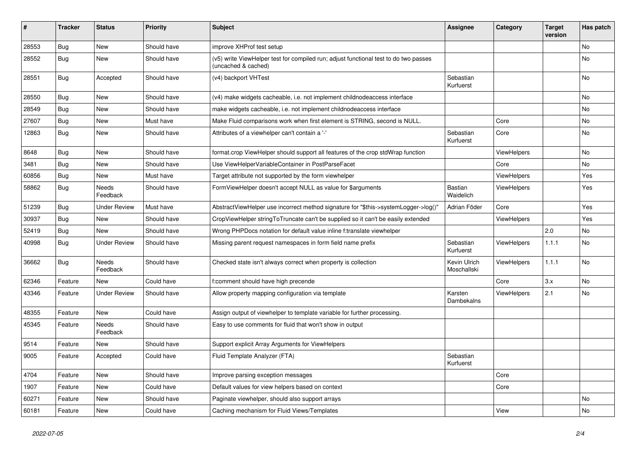| $\vert$ # | <b>Tracker</b> | <b>Status</b>            | <b>Priority</b> | <b>Subject</b>                                                                                              | Assignee                    | Category           | <b>Target</b><br>version | Has patch |
|-----------|----------------|--------------------------|-----------------|-------------------------------------------------------------------------------------------------------------|-----------------------------|--------------------|--------------------------|-----------|
| 28553     | <b>Bug</b>     | <b>New</b>               | Should have     | improve XHProf test setup                                                                                   |                             |                    |                          | <b>No</b> |
| 28552     | Bug            | New                      | Should have     | (v5) write ViewHelper test for compiled run; adjust functional test to do two passes<br>(uncached & cached) |                             |                    |                          | <b>No</b> |
| 28551     | Bug            | Accepted                 | Should have     | (v4) backport VHTest                                                                                        | Sebastian<br>Kurfuerst      |                    |                          | No        |
| 28550     | Bug            | New                      | Should have     | (v4) make widgets cacheable, i.e. not implement childnodeaccess interface                                   |                             |                    |                          | No        |
| 28549     | Bug            | New                      | Should have     | make widgets cacheable, i.e. not implement childnodeaccess interface                                        |                             |                    |                          | No        |
| 27607     | Bug            | New                      | Must have       | Make Fluid comparisons work when first element is STRING, second is NULL.                                   |                             | Core               |                          | No        |
| 12863     | Bug            | New                      | Should have     | Attributes of a viewhelper can't contain a '-'                                                              | Sebastian<br>Kurfuerst      | Core               |                          | No        |
| 8648      | <b>Bug</b>     | New                      | Should have     | format.crop ViewHelper should support all features of the crop stdWrap function                             |                             | <b>ViewHelpers</b> |                          | <b>No</b> |
| 3481      | Bug            | New                      | Should have     | Use ViewHelperVariableContainer in PostParseFacet                                                           |                             | Core               |                          | <b>No</b> |
| 60856     | <b>Bug</b>     | <b>New</b>               | Must have       | Target attribute not supported by the form viewhelper                                                       |                             | <b>ViewHelpers</b> |                          | Yes       |
| 58862     | Bug            | Needs<br>Feedback        | Should have     | FormViewHelper doesn't accept NULL as value for \$arguments                                                 | <b>Bastian</b><br>Waidelich | <b>ViewHelpers</b> |                          | Yes       |
| 51239     | Bug            | Under Review             | Must have       | AbstractViewHelper use incorrect method signature for "\$this->systemLogger->log()"                         | Adrian Föder                | Core               |                          | Yes       |
| 30937     | Bug            | New                      | Should have     | CropViewHelper stringToTruncate can't be supplied so it can't be easily extended                            |                             | ViewHelpers        |                          | Yes       |
| 52419     | Bug            | New                      | Should have     | Wrong PHPDocs notation for default value inline f:translate viewhelper                                      |                             |                    | 2.0                      | No        |
| 40998     | Bug            | <b>Under Review</b>      | Should have     | Missing parent request namespaces in form field name prefix                                                 | Sebastian<br>Kurfuerst      | ViewHelpers        | 1.1.1                    | No        |
| 36662     | <b>Bug</b>     | <b>Needs</b><br>Feedback | Should have     | Checked state isn't always correct when property is collection                                              | Kevin Ulrich<br>Moschallski | ViewHelpers        | 1.1.1                    | No        |
| 62346     | Feature        | New                      | Could have      | f:comment should have high precende                                                                         |                             | Core               | 3.x                      | No        |
| 43346     | Feature        | <b>Under Review</b>      | Should have     | Allow property mapping configuration via template                                                           | Karsten<br>Dambekalns       | ViewHelpers        | 2.1                      | No        |
| 48355     | Feature        | New                      | Could have      | Assign output of viewhelper to template variable for further processing.                                    |                             |                    |                          |           |
| 45345     | Feature        | <b>Needs</b><br>Feedback | Should have     | Easy to use comments for fluid that won't show in output                                                    |                             |                    |                          |           |
| 9514      | Feature        | New                      | Should have     | Support explicit Array Arguments for ViewHelpers                                                            |                             |                    |                          |           |
| 9005      | Feature        | Accepted                 | Could have      | Fluid Template Analyzer (FTA)                                                                               | Sebastian<br>Kurfuerst      |                    |                          |           |
| 4704      | Feature        | New                      | Should have     | Improve parsing exception messages                                                                          |                             | Core               |                          |           |
| 1907      | Feature        | <b>New</b>               | Could have      | Default values for view helpers based on context                                                            |                             | Core               |                          |           |
| 60271     | Feature        | New                      | Should have     | Paginate viewhelper, should also support arrays                                                             |                             |                    |                          | No        |
| 60181     | Feature        | <b>New</b>               | Could have      | Caching mechanism for Fluid Views/Templates                                                                 |                             | View               |                          | No        |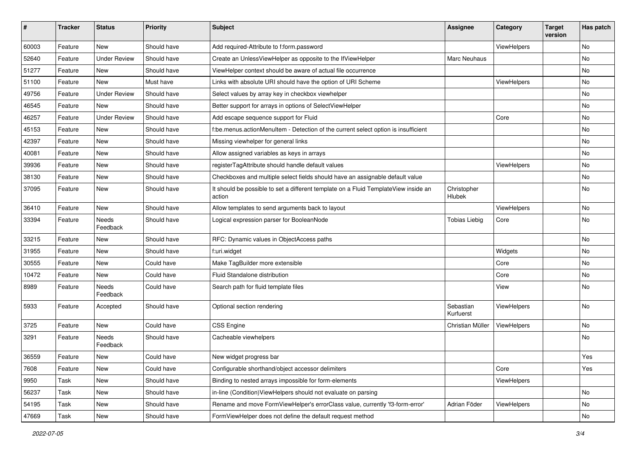| #     | <b>Tracker</b> | <b>Status</b>       | <b>Priority</b> | <b>Subject</b>                                                                                | Assignee               | Category    | <b>Target</b><br>version | Has patch |
|-------|----------------|---------------------|-----------------|-----------------------------------------------------------------------------------------------|------------------------|-------------|--------------------------|-----------|
| 60003 | Feature        | New                 | Should have     | Add required-Attribute to f:form.password                                                     |                        | ViewHelpers |                          | <b>No</b> |
| 52640 | Feature        | <b>Under Review</b> | Should have     | Create an UnlessViewHelper as opposite to the IfViewHelper                                    | Marc Neuhaus           |             |                          | No        |
| 51277 | Feature        | New                 | Should have     | ViewHelper context should be aware of actual file occurrence                                  |                        |             |                          | No        |
| 51100 | Feature        | <b>New</b>          | Must have       | Links with absolute URI should have the option of URI Scheme                                  |                        | ViewHelpers |                          | No        |
| 49756 | Feature        | <b>Under Review</b> | Should have     | Select values by array key in checkbox viewhelper                                             |                        |             |                          | No        |
| 46545 | Feature        | New                 | Should have     | Better support for arrays in options of SelectViewHelper                                      |                        |             |                          | No        |
| 46257 | Feature        | <b>Under Review</b> | Should have     | Add escape sequence support for Fluid                                                         |                        | Core        |                          | No        |
| 45153 | Feature        | New                 | Should have     | f:be.menus.actionMenuItem - Detection of the current select option is insufficient            |                        |             |                          | No        |
| 42397 | Feature        | New                 | Should have     | Missing viewhelper for general links                                                          |                        |             |                          | No        |
| 40081 | Feature        | New                 | Should have     | Allow assigned variables as keys in arrays                                                    |                        |             |                          | No        |
| 39936 | Feature        | New                 | Should have     | registerTagAttribute should handle default values                                             |                        | ViewHelpers |                          | No        |
| 38130 | Feature        | New                 | Should have     | Checkboxes and multiple select fields should have an assignable default value                 |                        |             |                          | No        |
| 37095 | Feature        | New                 | Should have     | It should be possible to set a different template on a Fluid TemplateView inside an<br>action | Christopher<br>Hlubek  |             |                          | No        |
| 36410 | Feature        | New                 | Should have     | Allow templates to send arguments back to layout                                              |                        | ViewHelpers |                          | No        |
| 33394 | Feature        | Needs<br>Feedback   | Should have     | Logical expression parser for BooleanNode                                                     | <b>Tobias Liebig</b>   | Core        |                          | No        |
| 33215 | Feature        | New                 | Should have     | RFC: Dynamic values in ObjectAccess paths                                                     |                        |             |                          | No        |
| 31955 | Feature        | New                 | Should have     | f:uri.widget                                                                                  |                        | Widgets     |                          | No        |
| 30555 | Feature        | New                 | Could have      | Make TagBuilder more extensible                                                               |                        | Core        |                          | No        |
| 10472 | Feature        | New                 | Could have      | Fluid Standalone distribution                                                                 |                        | Core        |                          | No        |
| 8989  | Feature        | Needs<br>Feedback   | Could have      | Search path for fluid template files                                                          |                        | View        |                          | No        |
| 5933  | Feature        | Accepted            | Should have     | Optional section rendering                                                                    | Sebastian<br>Kurfuerst | ViewHelpers |                          | No        |
| 3725  | Feature        | New                 | Could have      | CSS Engine                                                                                    | Christian Müller       | ViewHelpers |                          | No        |
| 3291  | Feature        | Needs<br>Feedback   | Should have     | Cacheable viewhelpers                                                                         |                        |             |                          | No        |
| 36559 | Feature        | New                 | Could have      | New widget progress bar                                                                       |                        |             |                          | Yes       |
| 7608  | Feature        | New                 | Could have      | Configurable shorthand/object accessor delimiters                                             |                        | Core        |                          | Yes       |
| 9950  | Task           | New                 | Should have     | Binding to nested arrays impossible for form-elements                                         |                        | ViewHelpers |                          |           |
| 56237 | Task           | New                 | Should have     | in-line (Condition) ViewHelpers should not evaluate on parsing                                |                        |             |                          | No        |
| 54195 | Task           | New                 | Should have     | Rename and move FormViewHelper's errorClass value, currently 'f3-form-error'                  | Adrian Föder           | ViewHelpers |                          | No        |
| 47669 | Task           | New                 | Should have     | FormViewHelper does not define the default request method                                     |                        |             |                          | No        |